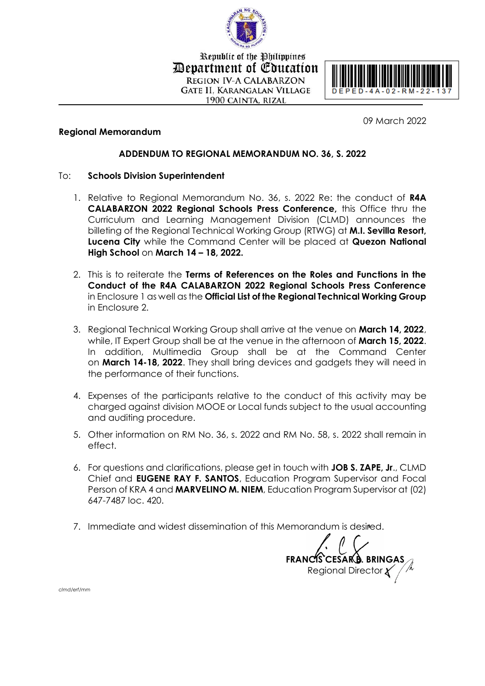

Republic of the Philippines Devartment of Education **REGION IV-A CALABARZON GATE II, KARANGALAN VILLAGE** 1900 CAINTA, RIZAL



09 March 2022

#### **Regional Memorandum**

## **ADDENDUM TO REGIONAL MEMORANDUM NO. 36, S. 2022**

#### To: **Schools Division Superintendent**

- 1. Relative to Regional Memorandum No. 36, s. 2022 Re: the conduct of **R4A CALABARZON 2022 Regional Schools Press Conference,** this Office thru the Curriculum and Learning Management Division (CLMD) announces the billeting of the Regional Technical Working Group (RTWG) at **M.I. Sevilla Resort, Lucena City** while the Command Center will be placed at **Quezon National High School** on **March 14 – 18, 2022.**
- 2. This is to reiterate the **Terms of References on the Roles and Functions in the Conduct of the R4A CALABARZON 2022 Regional Schools Press Conference** in Enclosure 1 as well as the **Official List of the Regional Technical Working Group** in Enclosure 2.
- 3. Regional Technical Working Group shall arrive at the venue on **March 14, 2022**, while, IT Expert Group shall be at the venue in the afternoon of **March 15, 2022**. In addition, Multimedia Group shall be at the Command Center on **March 14-18, 2022**. They shall bring devices and gadgets they will need in the performance of their functions.
- 4. Expenses of the participants relative to the conduct of this activity may be charged against division MOOE or Local funds subject to the usual accounting and auditing procedure.
- 5. Other information on RM No. 36, s. 2022 and RM No. 58, s. 2022 shall remain in effect.
- 6. For questions and clarifications, please get in touch with **JOB S. ZAPE, Jr**., CLMD Chief and **EUGENE RAY F. SANTOS**, Education Program Supervisor and Focal Person of KRA 4 and **MARVELINO M. NIEM**, Education Program Supervisor at (02) 647-7487 loc. 420.
- 7. Immediate and widest dissemination of this Memorandum is desired.

**FRANCIS CESAR B. BRINGAS** Regional Director

*clmd/erf/mm*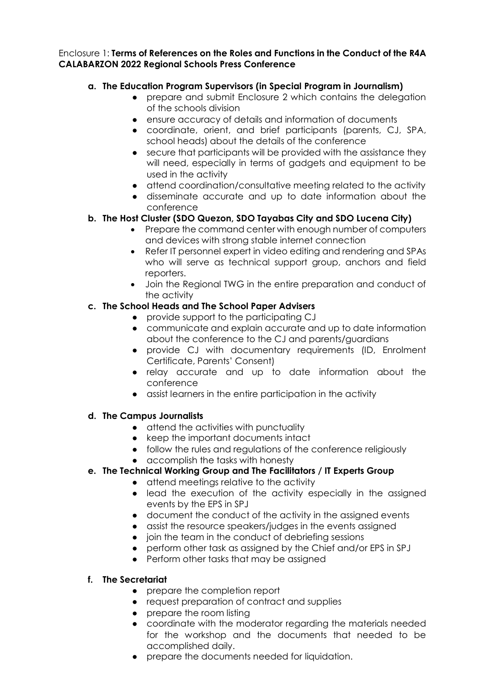#### Enclosure 1: **Terms of References on the Roles and Functions in the Conduct of the R4A CALABARZON 2022 Regional Schools Press Conference**

## **a. The Education Program Supervisors (in Special Program in Journalism)**

- prepare and submit Enclosure 2 which contains the delegation of the schools division
- ensure accuracy of details and information of documents
- coordinate, orient, and brief participants (parents, CJ, SPA, school heads) about the details of the conference
- secure that participants will be provided with the assistance they will need, especially in terms of gadgets and equipment to be used in the activity
- attend coordination/consultative meeting related to the activity
- disseminate accurate and up to date information about the conference

## **b. The Host Cluster (SDO Quezon, SDO Tayabas City and SDO Lucena City)**

- Prepare the command center with enough number of computers and devices with strong stable internet connection
- Refer IT personnel expert in video editing and rendering and SPAs who will serve as technical support group, anchors and field reporters.
- Join the Regional TWG in the entire preparation and conduct of the activity

## **c. The School Heads and The School Paper Advisers**

- provide support to the participating CJ
- communicate and explain accurate and up to date information about the conference to the CJ and parents/guardians
- provide CJ with documentary requirements (ID, Enrolment Certificate, Parents' Consent)
- relay accurate and up to date information about the conference
- assist learners in the entire participation in the activity

### **d. The Campus Journalists**

- attend the activities with punctuality
- keep the important documents intact
- follow the rules and regulations of the conference religiously
- accomplish the tasks with honesty

# **e. The Technical Working Group and The Facilitators / IT Experts Group**

- attend meetings relative to the activity
- lead the execution of the activity especially in the assigned events by the EPS in SPJ
- document the conduct of the activity in the assigned events
- assist the resource speakers/judges in the events assigned
- join the team in the conduct of debriefing sessions
- perform other task as assigned by the Chief and/or EPS in SPJ
- Perform other tasks that may be assigned

### **f. The Secretariat**

- prepare the completion report
- request preparation of contract and supplies
- prepare the room listing
- coordinate with the moderator regarding the materials needed for the workshop and the documents that needed to be accomplished daily.
- prepare the documents needed for liquidation.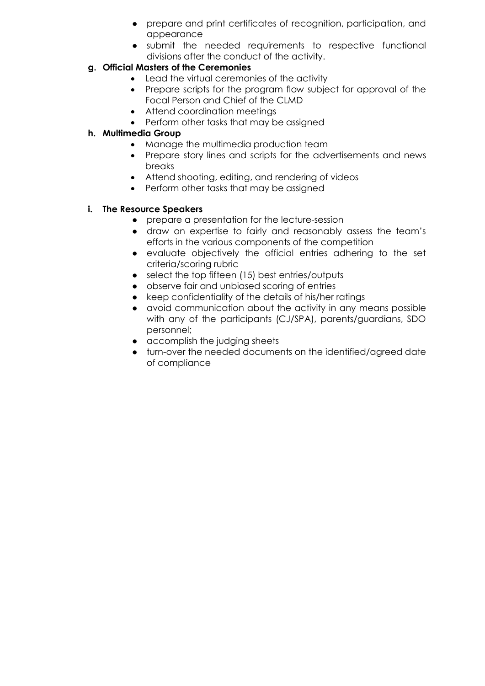- prepare and print certificates of recognition, participation, and appearance
- submit the needed requirements to respective functional divisions after the conduct of the activity.

# **g. Official Masters of the Ceremonies**

- Lead the virtual ceremonies of the activity
- Prepare scripts for the program flow subject for approval of the Focal Person and Chief of the CLMD
- Attend coordination meetings
- Perform other tasks that may be assigned

# **h. Multimedia Group**

- Manage the multimedia production team
- Prepare story lines and scripts for the advertisements and news breaks
- Attend shooting, editing, and rendering of videos
- Perform other tasks that may be assigned

## **i. The Resource Speakers**

- prepare a presentation for the lecture-session
- draw on expertise to fairly and reasonably assess the team's efforts in the various components of the competition
- evaluate objectively the official entries adhering to the set criteria/scoring rubric
- select the top fifteen (15) best entries/outputs
- observe fair and unbiased scoring of entries
- keep confidentiality of the details of his/her ratings
- avoid communication about the activity in any means possible with any of the participants (CJ/SPA), parents/guardians, SDO personnel;
- accomplish the judging sheets
- turn-over the needed documents on the identified/agreed date of compliance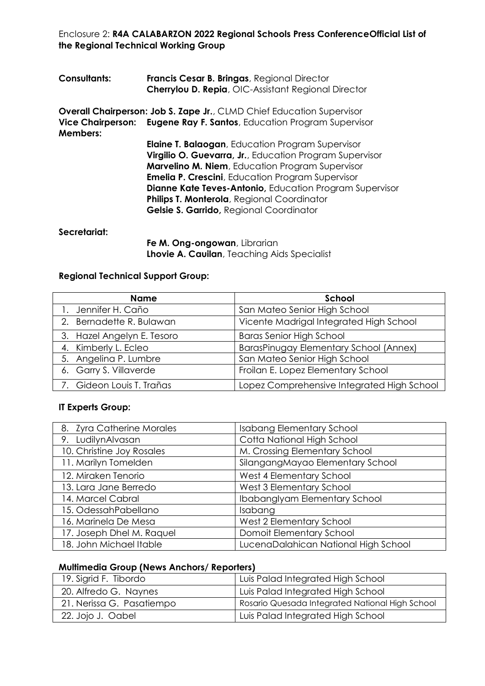Enclosure 2: **R4A CALABARZON 2022 Regional Schools Press ConferenceOfficial List of the Regional Technical Working Group**

| <b>Consultants:</b> | Francis Cesar B. Bringas, Regional Director<br>Cherrylou D. Repia, OIC-Assistant Regional Director                                                                                                                                                                                                                                                                                                   |
|---------------------|------------------------------------------------------------------------------------------------------------------------------------------------------------------------------------------------------------------------------------------------------------------------------------------------------------------------------------------------------------------------------------------------------|
| <b>Members:</b>     | <b>Overall Chairperson: Job S. Zape Jr., CLMD Chief Education Supervisor</b><br>Vice Chairperson: Eugene Ray F. Santos, Education Program Supervisor                                                                                                                                                                                                                                                 |
|                     | <b>Elaine T. Balaogan</b> , Education Program Supervisor<br>Virgilio O. Guevarra, Jr., Education Program Supervisor<br><b>Marvelino M. Niem, Education Program Supervisor</b><br><b>Emelia P. Crescini</b> , Education Program Supervisor<br><b>Dianne Kate Teves-Antonio, Education Program Supervisor</b><br>Philips T. Monterola, Regional Coordinator<br>Gelsie S. Garrido, Regional Coordinator |

#### **Secretariat:**

**Fe M. Ong-ongowan**, Librarian **Lhovie A. Cauilan**, Teaching Aids Specialist

# **Regional Technical Support Group:**

| <b>Name</b>                | School                                     |
|----------------------------|--------------------------------------------|
| 1. Jennifer H. Caño        | San Mateo Senior High School               |
| 2. Bernadette R. Bulawan   | Vicente Madrigal Integrated High School    |
| 3. Hazel Angelyn E. Tesoro | <b>Baras Senior High School</b>            |
| 4. Kimberly L. Ecleo       | BarasPinugay Elementary School (Annex)     |
| 5. Angelina P. Lumbre      | San Mateo Senior High School               |
| 6. Garry S. Villaverde     | Froilan E. Lopez Elementary School         |
| 7. Gideon Louis T. Trañas  | Lopez Comprehensive Integrated High School |

#### **IT Experts Group:**

| 8. Zyra Catherine Morales | <b>Isabang Elementary School</b>     |
|---------------------------|--------------------------------------|
| 9. LudilynAlvasan         | Cotta National High School           |
| 10. Christine Joy Rosales | M. Crossing Elementary School        |
| 11. Marilyn Tomelden      | SilangangMayao Elementary School     |
| 12. Miraken Tenorio       | West 4 Elementary School             |
| 13. Lara Jane Berredo     | West 3 Elementary School             |
| 14. Marcel Cabral         | IbabangIyam Elementary School        |
| 15. OdessahPabellano      | Isabang                              |
| 16. Marinela De Mesa      | West 2 Elementary School             |
| 17. Joseph Dhel M. Raquel | Domoit Elementary School             |
| 18. John Michael Itable   | LucenaDalahican National High School |

# **Multimedia Group (News Anchors/ Reporters)**

| 19. Sigrid F. Tibordo     | Luis Palad Integrated High School               |
|---------------------------|-------------------------------------------------|
| 20. Alfredo G. Naynes     | Luis Palad Integrated High School               |
| 21. Nerissa G. Pasatiempo | Rosario Quesada Integrated National High School |
| 22. Jojo J. Oabel         | Luis Palad Integrated High School               |